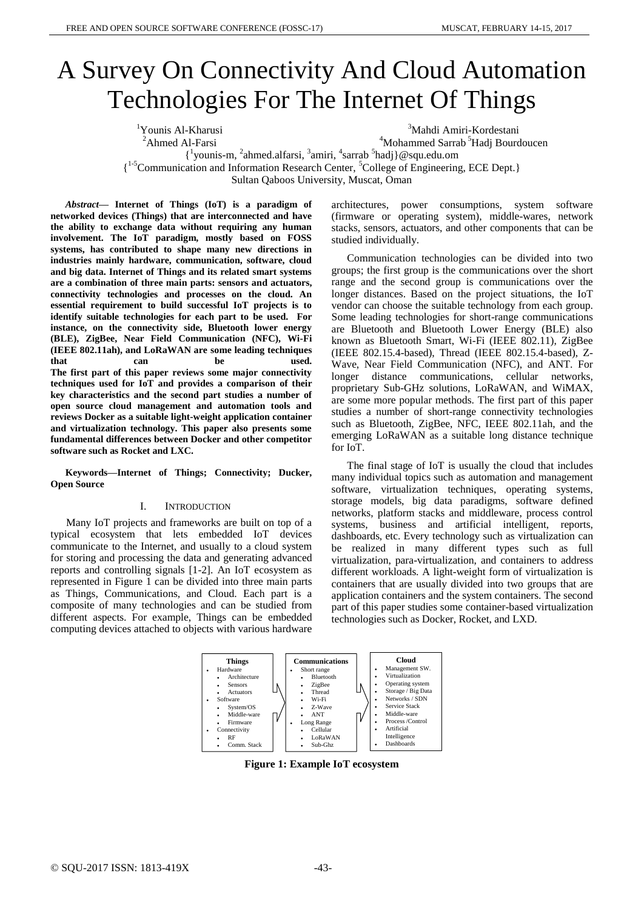# A Survey On Connectivity And Cloud Automation Technologies For The Internet Of Things

<sup>1</sup>Younis Al-Kharusi <sup>2</sup>Ahmed Al-Farsi <sup>3</sup>Mahdi Amiri-Kordestani <sup>4</sup>Mohammed Sarrab<sup>5</sup>Hadj Bourdoucen  $\{$ <sup>1</sup>younis-m,  $^2$ ahmed.alfarsi,  $^3$ amiri,  $^4$ sarrab  $^5$ hadj}@squ.edu.om { 1-5Communication and Information Research Center, <sup>5</sup>College of Engineering, ECE Dept.} Sultan Qaboos University, Muscat, Oman

*Abstract***— Internet of Things (IoT) is a paradigm of networked devices (Things) that are interconnected and have the ability to exchange data without requiring any human involvement. The IoT paradigm, mostly based on FOSS systems, has contributed to shape many new directions in industries mainly hardware, communication, software, cloud and big data. Internet of Things and its related smart systems are a combination of three main parts: sensors and actuators, connectivity technologies and processes on the cloud. An essential requirement to build successful IoT projects is to identify suitable technologies for each part to be used. For instance, on the connectivity side, Bluetooth lower energy (BLE), ZigBee, Near Field Communication (NFC), Wi-Fi (IEEE 802.11ah), and LoRaWAN are some leading techniques that can be used. The first part of this paper reviews some major connectivity techniques used for IoT and provides a comparison of their key characteristics and the second part studies a number of open source cloud management and automation tools and reviews Docker as a suitable light-weight application container and virtualization technology. This paper also presents some fundamental differences between Docker and other competitor software such as Rocket and LXC.**

**Keywords—Internet of Things; Connectivity; Ducker, Open Source**

#### I. INTRODUCTION

Many IoT projects and frameworks are built on top of a typical ecosystem that lets embedded IoT devices communicate to the Internet, and usually to a cloud system for storing and processing the data and generating advanced reports and controlling signals [1-2]. An IoT ecosystem as represented in Figure 1 can be divided into three main parts as Things, Communications, and Cloud. Each part is a composite of many technologies and can be studied from different aspects. For example, Things can be embedded computing devices attached to objects with various hardware

architectures, power consumptions, system software (firmware or operating system), middle-wares, network stacks, sensors, actuators, and other components that can be studied individually.

Communication technologies can be divided into two groups; the first group is the communications over the short range and the second group is communications over the longer distances. Based on the project situations, the IoT vendor can choose the suitable technology from each group. Some leading technologies for short-range communications are Bluetooth and Bluetooth Lower Energy (BLE) also known as Bluetooth Smart, Wi-Fi (IEEE 802.11), ZigBee (IEEE 802.15.4-based), Thread (IEEE 802.15.4-based), Z-Wave, Near Field Communication (NFC), and ANT. For longer distance communications, cellular networks, proprietary Sub-GHz solutions, LoRaWAN, and WiMAX, are some more popular methods. The first part of this paper studies a number of short-range connectivity technologies such as Bluetooth, ZigBee, NFC, IEEE 802.11ah, and the emerging LoRaWAN as a suitable long distance technique for IoT.

The final stage of IoT is usually the cloud that includes many individual topics such as automation and management software, virtualization techniques, operating systems, storage models, big data paradigms, software defined networks, platform stacks and middleware, process control systems, business and artificial intelligent, reports, dashboards, etc. Every technology such as virtualization can be realized in many different types such as full virtualization, para-virtualization, and containers to address different workloads. A light-weight form of virtualization is containers that are usually divided into two groups that are application containers and the system containers. The second part of this paper studies some container-based virtualization technologies such as Docker, Rocket, and LXD.



**Figure 1: Example IoT ecosystem**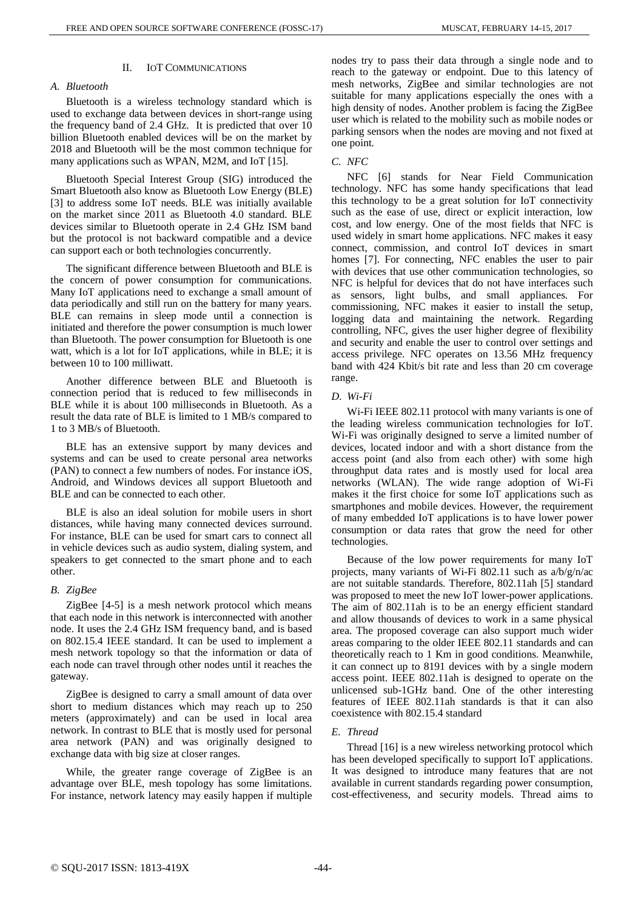#### II. IOT COMMUNICATIONS

## *A. Bluetooth*

Bluetooth is a wireless technology standard which is used to exchange data between devices in short-range using the frequency band of 2.4 GHz. It is predicted that over 10 billion Bluetooth enabled devices will be on the market by 2018 and Bluetooth will be the most common technique for many applications such as WPAN, M2M, and IoT [15].

Bluetooth Special Interest Group (SIG) introduced the Smart Bluetooth also know as Bluetooth Low Energy (BLE) [3] to address some IoT needs. BLE was initially available on the market since 2011 as Bluetooth 4.0 standard. BLE devices similar to Bluetooth operate in 2.4 GHz ISM band but the protocol is not backward compatible and a device can support each or both technologies concurrently.

The significant difference between Bluetooth and BLE is the concern of power consumption for communications. Many IoT applications need to exchange a small amount of data periodically and still run on the battery for many years. BLE can remains in sleep mode until a connection is initiated and therefore the power consumption is much lower than Bluetooth. The power consumption for Bluetooth is one watt, which is a lot for IoT applications, while in BLE; it is between 10 to 100 milliwatt.

Another difference between BLE and Bluetooth is connection period that is reduced to few milliseconds in BLE while it is about 100 milliseconds in Bluetooth. As a result the data rate of BLE is limited to 1 MB/s compared to 1 to 3 MB/s of Bluetooth.

BLE has an extensive support by many devices and systems and can be used to create personal area networks (PAN) to connect a few numbers of nodes. For instance iOS, Android, and Windows devices all support Bluetooth and BLE and can be connected to each other.

BLE is also an ideal solution for mobile users in short distances, while having many connected devices surround. For instance, BLE can be used for smart cars to connect all in vehicle devices such as audio system, dialing system, and speakers to get connected to the smart phone and to each other.

#### *B. ZigBee*

ZigBee [4-5] is a mesh network protocol which means that each node in this network is interconnected with another node. It uses the 2.4 GHz ISM frequency band, and is based on 802.15.4 IEEE standard. It can be used to implement a mesh network topology so that the information or data of each node can travel through other nodes until it reaches the gateway.

ZigBee is designed to carry a small amount of data over short to medium distances which may reach up to 250 meters (approximately) and can be used in local area network. In contrast to BLE that is mostly used for personal area network (PAN) and was originally designed to exchange data with big size at closer ranges.

While, the greater range coverage of ZigBee is an advantage over BLE, mesh topology has some limitations. For instance, network latency may easily happen if multiple

nodes try to pass their data through a single node and to reach to the gateway or endpoint. Due to this latency of mesh networks, ZigBee and similar technologies are not suitable for many applications especially the ones with a high density of nodes. Another problem is facing the ZigBee user which is related to the mobility such as mobile nodes or parking sensors when the nodes are moving and not fixed at one point.

## *C. NFC*

NFC [6] stands for Near Field Communication technology. NFC has some handy specifications that lead this technology to be a great solution for IoT connectivity such as the ease of use, direct or explicit interaction, low cost, and low energy. One of the most fields that NFC is used widely in smart home applications. NFC makes it easy connect, commission, and control IoT devices in smart homes [7]. For connecting, NFC enables the user to pair with devices that use other communication technologies, so NFC is helpful for devices that do not have interfaces such as sensors, light bulbs, and small appliances. For commissioning, NFC makes it easier to install the setup, logging data and maintaining the network. Regarding controlling, NFC, gives the user higher degree of flexibility and security and enable the user to control over settings and access privilege. NFC operates on 13.56 MHz frequency band with 424 Kbit/s bit rate and less than 20 cm coverage range.

#### *D. Wi-Fi*

Wi-Fi IEEE 802.11 protocol with many variants is one of the leading wireless communication technologies for IoT. Wi-Fi was originally designed to serve a limited number of devices, located indoor and with a short distance from the access point (and also from each other) with some high throughput data rates and is mostly used for local area networks (WLAN). The wide range adoption of Wi-Fi makes it the first choice for some IoT applications such as smartphones and mobile devices. However, the requirement of many embedded IoT applications is to have lower power consumption or data rates that grow the need for other technologies.

Because of the low power requirements for many IoT projects, many variants of Wi-Fi 802.11 such as a/b/g/n/ac are not suitable standards. Therefore, 802.11ah [5] standard was proposed to meet the new IoT lower-power applications. The aim of 802.11ah is to be an energy efficient standard and allow thousands of devices to work in a same physical area. The proposed coverage can also support much wider areas comparing to the older IEEE 802.11 standards and can theoretically reach to 1 Km in good conditions. Meanwhile, it can connect up to 8191 devices with by a single modern access point. IEEE 802.11ah is designed to operate on the unlicensed sub-1GHz band. One of the other interesting features of IEEE 802.11ah standards is that it can also coexistence with 802.15.4 standard

# *E. Thread*

Thread [16] is a new wireless networking protocol which has been developed specifically to support IoT applications. It was designed to introduce many features that are not available in current standards regarding power consumption, cost-effectiveness, and security models. Thread aims to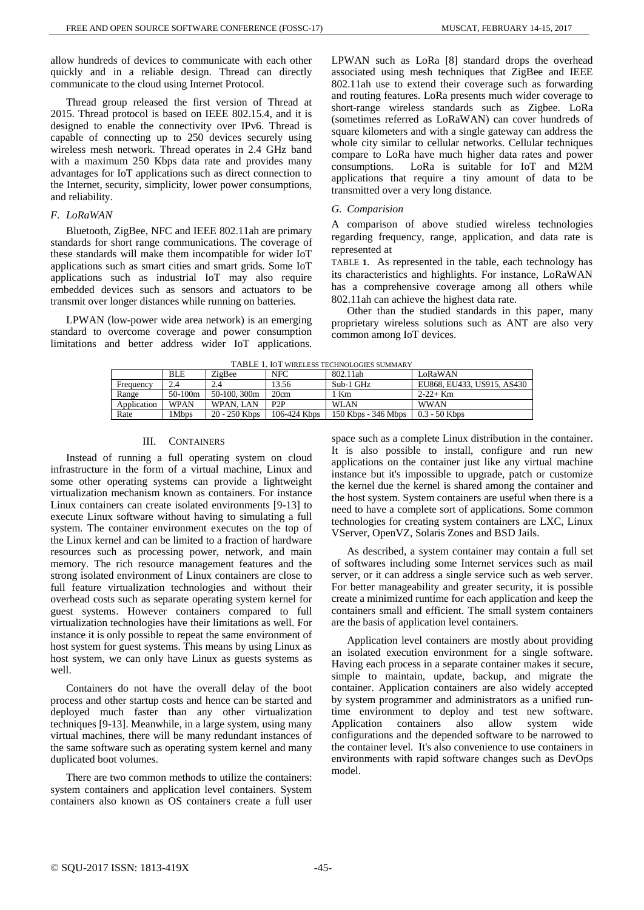allow hundreds of devices to communicate with each other quickly and in a reliable design. Thread can directly communicate to the cloud using Internet Protocol.

Thread group released the first version of Thread at 2015. Thread protocol is based on IEEE 802.15.4, and it is designed to enable the connectivity over IPv6. Thread is capable of connecting up to 250 devices securely using wireless mesh network. Thread operates in 2.4 GHz band with a maximum 250 Kbps data rate and provides many advantages for IoT applications such as direct connection to the Internet, security, simplicity, lower power consumptions, and reliability.

#### *F. LoRaWAN*

Bluetooth, ZigBee, NFC and IEEE 802.11ah are primary standards for short range communications. The coverage of these standards will make them incompatible for wider IoT applications such as smart cities and smart grids. Some IoT applications such as industrial IoT may also require embedded devices such as sensors and actuators to be transmit over longer distances while running on batteries.

<span id="page-2-0"></span>LPWAN (low-power wide area network) is an emerging standard to overcome coverage and power consumption limitations and better address wider IoT applications.

LPWAN such as LoRa [8] standard drops the overhead associated using mesh techniques that ZigBee and IEEE 802.11ah use to extend their coverage such as forwarding and routing features. LoRa presents much wider coverage to short-range wireless standards such as Zigbee. LoRa (sometimes referred as LoRaWAN) can cover hundreds of square kilometers and with a single gateway can address the whole city similar to cellular networks. Cellular techniques compare to LoRa have much higher data rates and power consumptions. LoRa is suitable for IoT and M2M applications that require a tiny amount of data to be transmitted over a very long distance.

### *G. Comparision*

A comparison of above studied wireless technologies regarding frequency, range, application, and data rate is represented a[t](#page-2-0)

[TABLE](#page-2-0) **1**. As represented in the table, each technology has its characteristics and highlights. For instance, LoRaWAN has a comprehensive coverage among all others while 802.11ah can achieve the highest data rate.

Other than the studied standards in this paper, many proprietary wireless solutions such as ANT are also very common among IoT devices.

TABLE 1. IOT WIRELESS TECHNOLOGIES SUMMARY

| TADLE T. IOT WINELESS TECHNOLOGIES SUMMANT |             |                 |              |                     |                            |
|--------------------------------------------|-------------|-----------------|--------------|---------------------|----------------------------|
|                                            | <b>BLE</b>  | ZigBee          | <b>NFC</b>   | 802.11ah            | LoRaWAN                    |
| Frequency                                  | 2.4         | 2.4             | 13.56        | Sub-1 GHz           | EU868, EU433, US915, AS430 |
| Range                                      | $50-100m$   | 50-100, 300m    | 20cm         | 1 Km                | $2 - 22 + Km$              |
| Application                                | <b>WPAN</b> | WPAN, LAN       | P2P          | <b>WLAN</b>         | <b>WWAN</b>                |
| Rate                                       | 1Mbps       | $20 - 250$ Kbps | 106-424 Kbps | 150 Kbps - 346 Mbps | $0.3 - 50$ Kbps            |

# III. CONTAINERS

Instead of running a full operating system on cloud infrastructure in the form of a virtual machine, Linux and some other operating systems can provide a lightweight virtualization mechanism known as containers. For instance Linux containers can create isolated environments [9-13] to execute Linux software without having to simulating a full system. The container environment executes on the top of the Linux kernel and can be limited to a fraction of hardware resources such as processing power, network, and main memory. The rich resource management features and the strong isolated environment of Linux containers are close to full feature virtualization technologies and without their overhead costs such as separate operating system kernel for guest systems. However containers compared to full virtualization technologies have their limitations as well. For instance it is only possible to repeat the same environment of host system for guest systems. This means by using Linux as host system, we can only have Linux as guests systems as well.

Containers do not have the overall delay of the boot process and other startup costs and hence can be started and deployed much faster than any other virtualization techniques [9-13]. Meanwhile, in a large system, using many virtual machines, there will be many redundant instances of the same software such as operating system kernel and many duplicated boot volumes.

There are two common methods to utilize the containers: system containers and application level containers. System containers also known as OS containers create a full user space such as a complete Linux distribution in the container. It is also possible to install, configure and run new applications on the container just like any virtual machine instance but it's impossible to upgrade, patch or customize the kernel due the kernel is shared among the container and the host system. System containers are useful when there is a need to have a complete sort of applications. Some common technologies for creating system containers are LXC, Linux VServer, OpenVZ, Solaris Zones and BSD Jails.

As described, a system container may contain a full set of softwares including some Internet services such as mail server, or it can address a single service such as web server. For better manageability and greater security, it is possible create a minimized runtime for each application and keep the containers small and efficient. The small system containers are the basis of application level containers.

Application level containers are mostly about providing an isolated execution environment for a single software. Having each process in a separate container makes it secure, simple to maintain, update, backup, and migrate the container. Application containers are also widely accepted by system programmer and administrators as a unified runtime environment to deploy and test new software. Application containers also allow system wide configurations and the depended software to be narrowed to the container level. It's also convenience to use containers in environments with rapid software changes such as DevOps model.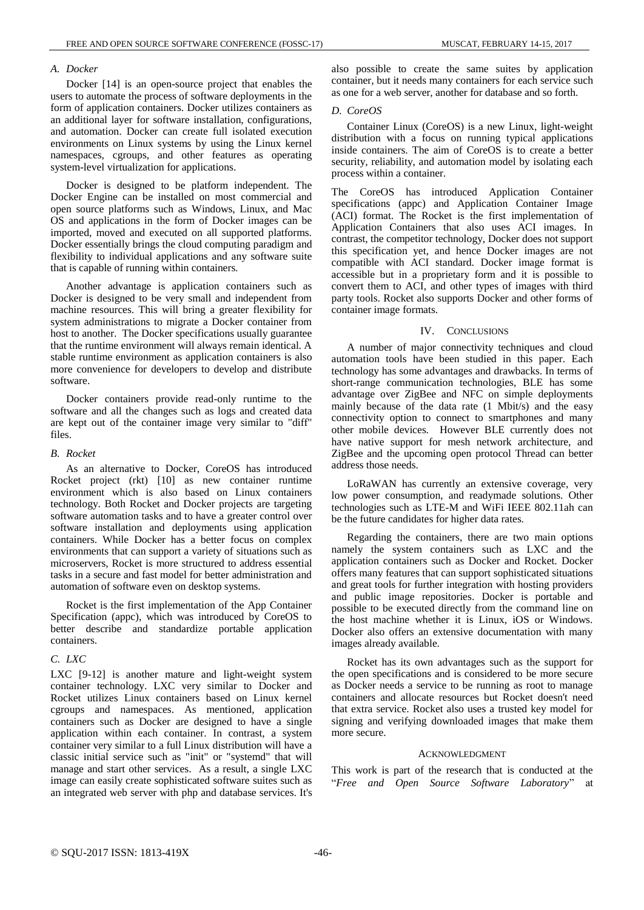## *A. Docker*

Docker [14] is an open-source project that enables the users to automate the process of software deployments in the form of application containers. Docker utilizes containers as an additional layer for software installation, configurations, and automation. Docker can create full isolated execution environments on Linux systems by using the Linux kernel namespaces, cgroups, and other features as operating system-level virtualization for applications.

Docker is designed to be platform independent. The Docker Engine can be installed on most commercial and open source platforms such as Windows, Linux, and Mac OS and applications in the form of Docker images can be imported, moved and executed on all supported platforms. Docker essentially brings the cloud computing paradigm and flexibility to individual applications and any software suite that is capable of running within containers.

Another advantage is application containers such as Docker is designed to be very small and independent from machine resources. This will bring a greater flexibility for system administrations to migrate a Docker container from host to another. The Docker specifications usually guarantee that the runtime environment will always remain identical. A stable runtime environment as application containers is also more convenience for developers to develop and distribute software.

Docker containers provide read-only runtime to the software and all the changes such as logs and created data are kept out of the container image very similar to "diff" files.

#### *B. Rocket*

As an alternative to Docker, CoreOS has introduced Rocket project (rkt) [10] as new container runtime environment which is also based on Linux containers technology. Both Rocket and Docker projects are targeting software automation tasks and to have a greater control over software installation and deployments using application containers. While Docker has a better focus on complex environments that can support a variety of situations such as microservers, Rocket is more structured to address essential tasks in a secure and fast model for better administration and automation of software even on desktop systems.

Rocket is the first implementation of the App Container Specification (appc), which was introduced by CoreOS to better describe and standardize portable application containers.

# *C. LXC*

LXC [9-12] is another mature and light-weight system container technology. LXC very similar to Docker and Rocket utilizes Linux containers based on Linux kernel cgroups and namespaces. As mentioned, application containers such as Docker are designed to have a single application within each container. In contrast, a system container very similar to a full Linux distribution will have a classic initial service such as "init" or "systemd" that will manage and start other services. As a result, a single LXC image can easily create sophisticated software suites such as an integrated web server with php and database services. It's also possible to create the same suites by application container, but it needs many containers for each service such as one for a web server, another for database and so forth.

#### *D. CoreOS*

Container Linux (CoreOS) is a new Linux, light-weight distribution with a focus on running typical applications inside containers. The aim of CoreOS is to create a better security, reliability, and automation model by isolating each process within a container.

The CoreOS has introduced Application Container specifications (appc) and Application Container Image (ACI) format. The Rocket is the first implementation of Application Containers that also uses ACI images. In contrast, the competitor technology, Docker does not support this specification yet, and hence Docker images are not compatible with ACI standard. Docker image format is accessible but in a proprietary form and it is possible to convert them to ACI, and other types of images with third party tools. Rocket also supports Docker and other forms of container image formats.

### IV. CONCLUSIONS

A number of major connectivity techniques and cloud automation tools have been studied in this paper. Each technology has some advantages and drawbacks. In terms of short-range communication technologies, BLE has some advantage over ZigBee and NFC on simple deployments mainly because of the data rate (1 Mbit/s) and the easy connectivity option to connect to smartphones and many other mobile devices. However BLE currently does not have native support for mesh network architecture, and ZigBee and the upcoming open protocol Thread can better address those needs.

LoRaWAN has currently an extensive coverage, very low power consumption, and readymade solutions. Other technologies such as LTE-M and WiFi IEEE 802.11ah can be the future candidates for higher data rates.

Regarding the containers, there are two main options namely the system containers such as LXC and the application containers such as Docker and Rocket. Docker offers many features that can support sophisticated situations and great tools for further integration with hosting providers and public image repositories. Docker is portable and possible to be executed directly from the command line on the host machine whether it is Linux, iOS or Windows. Docker also offers an extensive documentation with many images already available.

Rocket has its own advantages such as the support for the open specifications and is considered to be more secure as Docker needs a service to be running as root to manage containers and allocate resources but Rocket doesn't need that extra service. Rocket also uses a trusted key model for signing and verifying downloaded images that make them more secure.

#### ACKNOWLEDGMENT

This work is part of the research that is conducted at the "*Free and Open Source Software Laboratory*" at